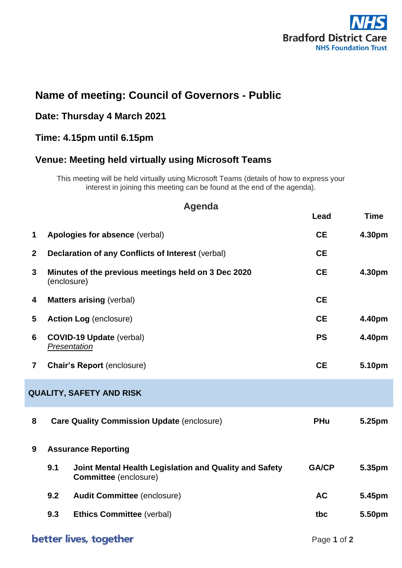

# **Name of meeting: Council of Governors - Public**

# **Date: Thursday 4 March 2021**

## **Time: 4.15pm until 6.15pm**

### **Venue: Meeting held virtually using Microsoft Teams**

This meeting will be held virtually using Microsoft Teams (details of how to express your interest in joining this meeting can be found at the end of the agenda).

| Agenda                          |                                                                                               |              |             |  |  |
|---------------------------------|-----------------------------------------------------------------------------------------------|--------------|-------------|--|--|
|                                 |                                                                                               | Lead         | <b>Time</b> |  |  |
| $\mathbf 1$                     | Apologies for absence (verbal)                                                                | <b>CE</b>    | 4.30pm      |  |  |
| $\mathbf{2}$                    | <b>Declaration of any Conflicts of Interest (verbal)</b>                                      | <b>CE</b>    |             |  |  |
| 3                               | Minutes of the previous meetings held on 3 Dec 2020<br>(enclosure)                            | <b>CE</b>    | 4.30pm      |  |  |
| 4                               | <b>Matters arising (verbal)</b>                                                               | <b>CE</b>    |             |  |  |
| 5                               | <b>Action Log (enclosure)</b>                                                                 | <b>CE</b>    | 4.40pm      |  |  |
| 6                               | <b>COVID-19 Update (verbal)</b><br>Presentation                                               | <b>PS</b>    | 4.40pm      |  |  |
| $\overline{7}$                  | <b>Chair's Report (enclosure)</b>                                                             | <b>CE</b>    | 5.10pm      |  |  |
| <b>QUALITY, SAFETY AND RISK</b> |                                                                                               |              |             |  |  |
| 8                               | <b>Care Quality Commission Update (enclosure)</b>                                             | <b>PHu</b>   | 5.25pm      |  |  |
| 9                               | <b>Assurance Reporting</b>                                                                    |              |             |  |  |
|                                 | 9.1<br>Joint Mental Health Legislation and Quality and Safety<br><b>Committee</b> (enclosure) | <b>GA/CP</b> | 5.35pm      |  |  |
|                                 | 9.2<br><b>Audit Committee (enclosure)</b>                                                     | <b>AC</b>    | 5.45pm      |  |  |
|                                 | 9.3<br><b>Ethics Committee (verbal)</b>                                                       | tbc          | 5.50pm      |  |  |
|                                 |                                                                                               |              |             |  |  |

## better lives, together